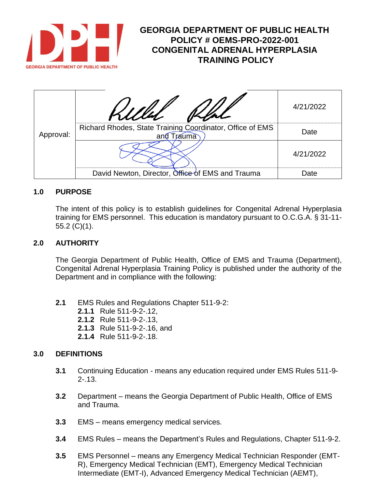

# **GEORGIA DEPARTMENT OF PUBLIC HEALTH POLICY # OEMS-PRO-2022-001 CONGENITAL ADRENAL HYPERPLASIA TRAINING POLICY**

| Approval: |                                                                                   | 4/21/2022 |
|-----------|-----------------------------------------------------------------------------------|-----------|
|           | Richard Rhodes, State Training Coordinator, Office of EMS<br><b>Trauma</b><br>and | Date      |
|           |                                                                                   | 4/21/2022 |
|           | David Newton, Director, Office of EMS and Trauma                                  | Date      |

#### **1.0 PURPOSE**

The intent of this policy is to establish guidelines for Congenital Adrenal Hyperplasia training for EMS personnel. This education is mandatory pursuant to O.C.G.A. § 31-11- 55.2 (C)(1).

#### **2.0 AUTHORITY**

The Georgia Department of Public Health, Office of EMS and Trauma (Department), Congenital Adrenal Hyperplasia Training Policy is published under the authority of the Department and in compliance with the following:

- **2.1** EMS Rules and Regulations Chapter 511-9-2:
	- **2.1.1** Rule 511-9-2-.12,
	- **2.1.2** Rule 511-9-2-.13,
	- **2.1.3** Rule 511-9-2-.16, and
	- **2.1.4** Rule 511-9-2-.18.

#### **3.0 DEFINITIONS**

- **3.1** Continuing Education means any education required under EMS Rules 511-9- 2-.13.
- **3.2** Department means the Georgia Department of Public Health, Office of EMS and Trauma.
- **3.3** EMS means emergency medical services.
- **3.4** EMS Rules means the Department's Rules and Regulations, Chapter 511-9-2.
- **3.5** EMS Personnel means any Emergency Medical Technician Responder (EMT-R), Emergency Medical Technician (EMT), Emergency Medical Technician Intermediate (EMT-I), Advanced Emergency Medical Technician (AEMT),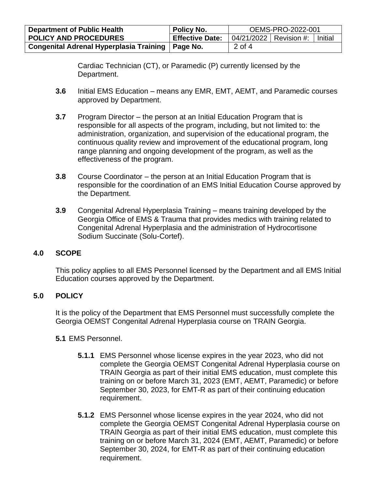| <b>Department of Public Health</b>                 | Policy No.             | OEMS-PRO-2022-001 |                          |         |
|----------------------------------------------------|------------------------|-------------------|--------------------------|---------|
| <b>POLICY AND PROCEDURES</b>                       | <b>Effective Date:</b> |                   | 04/21/2022   Revision #: | Initial |
| Congenital Adrenal Hyperplasia Training   Page No. |                        | 2 of 4            |                          |         |

Cardiac Technician (CT), or Paramedic (P) currently licensed by the Department.

- **3.6** Initial EMS Education means any EMR, EMT, AEMT, and Paramedic courses approved by Department.
- **3.7** Program Director the person at an Initial Education Program that is responsible for all aspects of the program, including, but not limited to: the administration, organization, and supervision of the educational program, the continuous quality review and improvement of the educational program, long range planning and ongoing development of the program, as well as the effectiveness of the program.
- **3.8** Course Coordinator the person at an Initial Education Program that is responsible for the coordination of an EMS Initial Education Course approved by the Department.
- **3.9** Congenital Adrenal Hyperplasia Training means training developed by the Georgia Office of EMS & Trauma that provides medics with training related to Congenital Adrenal Hyperplasia and the administration of Hydrocortisone Sodium Succinate (Solu-Cortef).

## **4.0 SCOPE**

This policy applies to all EMS Personnel licensed by the Department and all EMS Initial Education courses approved by the Department.

## **5.0 POLICY**

It is the policy of the Department that EMS Personnel must successfully complete the Georgia OEMST Congenital Adrenal Hyperplasia course on TRAIN Georgia.

## **5.1** EMS Personnel.

- **5.1.1** EMS Personnel whose license expires in the year 2023, who did not complete the Georgia OEMST Congenital Adrenal Hyperplasia course on TRAIN Georgia as part of their initial EMS education, must complete this training on or before March 31, 2023 (EMT, AEMT, Paramedic) or before September 30, 2023, for EMT-R as part of their continuing education requirement.
- **5.1.2** EMS Personnel whose license expires in the year 2024, who did not complete the Georgia OEMST Congenital Adrenal Hyperplasia course on TRAIN Georgia as part of their initial EMS education, must complete this training on or before March 31, 2024 (EMT, AEMT, Paramedic) or before September 30, 2024, for EMT-R as part of their continuing education requirement.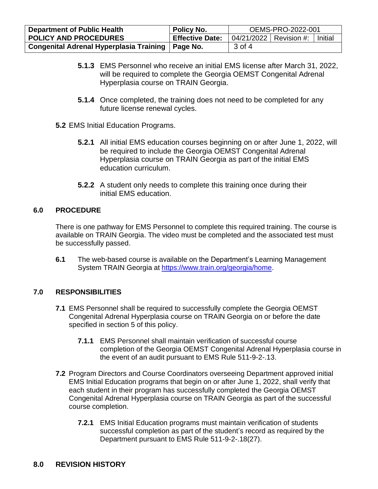| <b>Department of Public Health</b>                 | Policy No.             | OEMS-PRO-2022-001        |  |         |
|----------------------------------------------------|------------------------|--------------------------|--|---------|
| <b>POLICY AND PROCEDURES</b>                       | <b>Effective Date:</b> | 04/21/2022   Revision #: |  | Initial |
| Congenital Adrenal Hyperplasia Training   Page No. |                        | 3 of 4                   |  |         |

- **5.1.3** EMS Personnel who receive an initial EMS license after March 31, 2022, will be required to complete the Georgia OEMST Congenital Adrenal Hyperplasia course on TRAIN Georgia.
- **5.1.4** Once completed, the training does not need to be completed for any future license renewal cycles.
- **5.2** EMS Initial Education Programs.
	- **5.2.1** All initial EMS education courses beginning on or after June 1, 2022, will be required to include the Georgia OEMST Congenital Adrenal Hyperplasia course on TRAIN Georgia as part of the initial EMS education curriculum.
	- **5.2.2** A student only needs to complete this training once during their initial EMS education.

#### **6.0 PROCEDURE**

There is one pathway for EMS Personnel to complete this required training. The course is available on TRAIN Georgia. The video must be completed and the associated test must be successfully passed.

**6.1** The web-based course is available on the Department's Learning Management System TRAIN Georgia at [https://www.train.org/georgia/home.](https://www.train.org/georgia/home)

## **7.0 RESPONSIBILITIES**

- **7.1** EMS Personnel shall be required to successfully complete the Georgia OEMST Congenital Adrenal Hyperplasia course on TRAIN Georgia on or before the date specified in section 5 of this policy.
	- **7.1.1** EMS Personnel shall maintain verification of successful course completion of the Georgia OEMST Congenital Adrenal Hyperplasia course in the event of an audit pursuant to EMS Rule 511-9-2-.13.
- **7.2** Program Directors and Course Coordinators overseeing Department approved initial EMS Initial Education programs that begin on or after June 1, 2022, shall verify that each student in their program has successfully completed the Georgia OEMST Congenital Adrenal Hyperplasia course on TRAIN Georgia as part of the successful course completion.
	- **7.2.1** EMS Initial Education programs must maintain verification of students successful completion as part of the student's record as required by the Department pursuant to EMS Rule 511-9-2-.18(27).